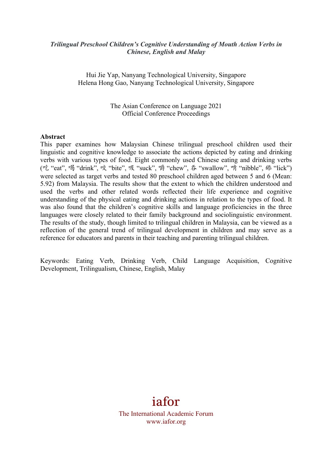#### *Trilingual Preschool Children's Cognitive Understanding of Mouth Action Verbs in Chinese, English and Malay*

Hui Jie Yap, Nanyang Technological University, Singapore Helena Hong Gao, Nanyang Technological University, Singapore

> The Asian Conference on Language 2021 Official Conference Proceedings

#### **Abstract**

This paper examines how Malaysian Chinese trilingual preschool children used their linguistic and cognitive knowledge to associate the actions depicted by eating and drinking verbs with various types of food. Eight commonly used Chinese eating and drinking verbs (吃 "eat", 喝 "drink", 咬 "bite", 吸 "suck", 嚼 "chew", 吞 "swallow", 啃 "nibble", 舔 "lick") were selected as target verbs and tested 80 preschool children aged between 5 and 6 (Mean: 5.92) from Malaysia. The results show that the extent to which the children understood and used the verbs and other related words reflected their life experience and cognitive understanding of the physical eating and drinking actions in relation to the types of food. It was also found that the children's cognitive skills and language proficiencies in the three languages were closely related to their family background and sociolinguistic environment. The results of the study, though limited to trilingual children in Malaysia, can be viewed as a reflection of the general trend of trilingual development in children and may serve as a reference for educators and parents in their teaching and parenting trilingual children.

Keywords: Eating Verb, Drinking Verb, Child Language Acquisition, Cognitive Development, Trilingualism, Chinese, English, Malay

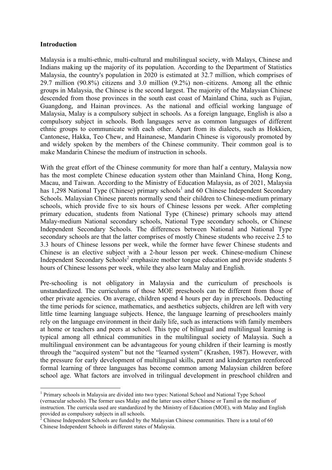#### **Introduction**

l,

Malaysia is a multi-ethnic, multi-cultural and multilingual society, with Malays, Chinese and Indians making up the majority of its population. According to the Department of Statistics Malaysia, the country's population in 2020 is estimated at 32.7 million, which comprises of 29.7 million (90.8%) citizens and 3.0 million (9.2%) non–citizens. Among all the ethnic groups in Malaysia, the Chinese is the second largest. The majority of the Malaysian Chinese descended from those provinces in the south east coast of Mainland China, such as Fujian, Guangdong, and Hainan provinces. As the national and official working language of Malaysia, Malay is a compulsory subject in schools. As a foreign language, English is also a compulsory subject in schools. Both languages serve as common languages of different ethnic groups to communicate with each other. Apart from its dialects, such as Hokkien, Cantonese, Hakka, Teo Chew, and Hainanese, Mandarin Chinese is vigorously promoted by and widely spoken by the members of the Chinese community. Their common goal is to make Mandarin Chinese the medium of instruction in schools.

With the great effort of the Chinese community for more than half a century, Malaysia now has the most complete Chinese education system other than Mainland China, Hong Kong, Macau, and Taiwan. According to the Ministry of Education Malaysia, as of 2021, Malaysia has 1,298 National Type (Chinese) primary schools<sup>1</sup> and 60 Chinese Independent Secondary Schools. Malaysian Chinese parents normally send their children to Chinese-medium primary schools, which provide five to six hours of Chinese lessons per week. After completing primary education, students from National Type (Chinese) primary schools may attend Malay-medium National secondary schools, National Type secondary schools, or Chinese Independent Secondary Schools. The differences between National and National Type secondary schools are that the latter comprises of mostly Chinese students who receive 2.5 to 3.3 hours of Chinese lessons per week, while the former have fewer Chinese students and Chinese is an elective subject with a 2-hour lesson per week. Chinese-medium Chinese Independent Secondary Schools<sup>2</sup> emphasize mother tongue education and provide students 5 hours of Chinese lessons per week, while they also learn Malay and English.

Pre-schooling is not obligatory in Malaysia and the curriculum of preschools is unstandardized. The curriculums of those MOE preschools can be different from those of other private agencies. On average, children spend 4 hours per day in preschools. Deducting the time periods for science, mathematics, and aesthetics subjects, children are left with very little time learning language subjects. Hence, the language learning of preschoolers mainly rely on the language environment in their daily life, such as interactions with family members at home or teachers and peers at school. This type of bilingual and multilingual learning is typical among all ethnical communities in the multilingual society of Malaysia. Such a multilingual environment can be advantageous for young children if their learning is mostly through the "acquired system" but not the "learned system" (Krashen, 1987). However, with the pressure for early development of multilingual skills, parent and kindergarten reenforced formal learning of three languages has become common among Malaysian children before school age. What factors are involved in trilingual development in preschool children and

<sup>1</sup> Primary schools in Malaysia are divided into two types: National School and National Type School (vernacular schools). The former uses Malay and the latter uses either Chinese or Tamil as the medium of instruction. The curricula used are standardized by the Ministry of Education (MOE), with Malay and English provided as compulsory subjects in all schools.

<sup>&</sup>lt;sup>2</sup> Chinese Independent Schools are funded by the Malaysian Chinese communities. There is a total of 60 Chinese Independent Schools in different states of Malaysia.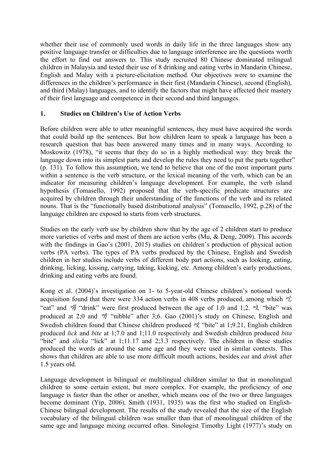whether their use of commonly used words in daily life in the three languages show any positive language transfer or difficulties due to language interference are the questions worth the effort to find out answers to. This study recruited 80 Chinese dominated trilingual children in Malaysia and tested their use of 8 drinking and eating verbs in Mandarin Chinese, English and Malay with a picture-elicitation method. Our objectives were to examine the differences in the children's performance in their first (Mandarin Chinese), second (English), and third (Malay) languages, and to identify the factors that might have affected their mastery of their first language and competence in their second and third languages.

#### **1. Studies on Children's Use of Action Verbs**

Before children were able to utter meaningful sentences, they must have acquired the words that could build up the sentences. But how children learn to speak a language has been a research question that has been answered many times and in many ways. According to Moskowitz (1978), "it seems that they do so in a highly methodical way: they break the language down into its simplest parts and develop the rules they need to put the parts together" (p. 131). To follow this assumption, we tend to believe that one of the most important parts within a sentence is the verb structure, or the lexical meaning of the verb, which can be an indicator for measuring children's language development. For example, the verb island hypothesis (Tomasello, 1992) proposed that the verb-specific predicate structures are acquired by children through their understanding of the functions of the verb and its related nouns. That is the "functionally based distributional analysis" (Tomasello, 1992, p.28) of the language children are exposed to starts from verb structures.

Studies on the early verb use by children show that by the age of 2 children start to produce more varieties of verbs and most of them are action verbs (Mu, & Deng, 2009). This accords with the findings in Gao's (2001, 2015) studies on children's production of physical action verbs (PA verbs). The types of PA verbs produced by the Chinese, English and Swedish children in her studies include verbs of different body part actions, such as looking, eating, drinking, licking, kissing, carrying, taking, kicking, etc. Among children's early productions, drinking and eating verbs are found.

Kong et al. (2004)'s investigation on 1- to 5-year-old Chinese children's notional words acquisition found that there were 334 action verbs in 408 verbs produced, among which  $\mathscr{E}$ "eat" and 喝 "drink" were first produced between the age of 1;0 and 1;2. 咬 "bite" was produced at 2;0 and 啃 "nibble" after 3;6. Gao (2001)'s study on Chinese, English and Swedish children found that Chinese children produced 咬 "bite" at 1;9.21, English children produced *lick* and *bite* at 1;7.0 and 1;11.0 respectively and Swedish children produced *bita* "bite" and *slicka* "lick" at 1;11.17 and 2;3.3 respectively. The children in these studies produced the words at around the same age and they were used in similar contexts. This shows that children are able to use more difficult mouth actions, besides *eat* and *drink* after 1.5 years old.

Language development in bilingual or multilingual children similar to that in monolingual children to some certain extent, but more complex. For example, the proficiency of one language is faster than the other or another, which means one of the two or three languages become dominant (Yip, 2006). Smith (1931, 1935) was the first who studied on English-Chinese bilingual development. The results of the study revealed that the size of the English vocabulary of the bilingual children was smaller than that of monolingual children of the same age and language mixing occurred often. Sinologist Timothy Light (1977)'s study on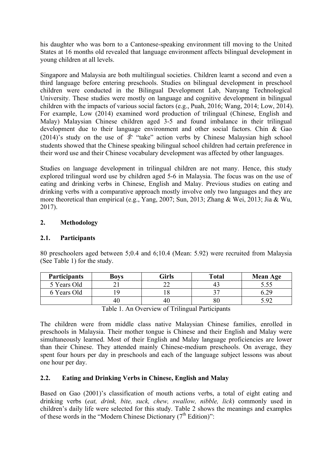his daughter who was born to a Cantonese-speaking environment till moving to the United States at 16 months old revealed that language environment affects bilingual development in young children at all levels.

Singapore and Malaysia are both multilingual societies. Children learnt a second and even a third language before entering preschools. Studies on bilingual development in preschool children were conducted in the Bilingual Development Lab, Nanyang Technological University. These studies were mostly on language and cognitive development in bilingual children with the impacts of various social factors (e.g., Puah, 2016; Wang, 2014; Low, 2014). For example, Low (2014) examined word production of trilingual (Chinese, English and Malay) Malaysian Chinese children aged 3-5 and found imbalance in their trilingual development due to their language environment and other social factors. Chin & Gao  $(2014)$ 's study on the use of  $\hat{\mathcal{F}}$  "take" action verbs by Chinese Malaysian high school students showed that the Chinese speaking bilingual school children had certain preference in their word use and their Chinese vocabulary development was affected by other languages.

Studies on language development in trilingual children are not many. Hence, this study explored trilingual word use by children aged 5-6 in Malaysia. The focus was on the use of eating and drinking verbs in Chinese, English and Malay. Previous studies on eating and drinking verbs with a comparative approach mostly involve only two languages and they are more theoretical than empirical (e.g., Yang, 2007; Sun, 2013; Zhang & Wei, 2013; Jia & Wu, 2017).

## **2. Methodology**

### **2.1. Participants**

80 preschoolers aged between 5;0.4 and 6;10.4 (Mean: 5.92) were recruited from Malaysia (See Table 1) for the study.

| <b>Participants</b> | <b>Boys</b> | Girls | <b>Total</b> | <b>Mean Age</b> |
|---------------------|-------------|-------|--------------|-----------------|
| 5 Years Old         |             |       | 4.           |                 |
| 6 Years Old         |             |       | າ⊓           |                 |
|                     | 46          |       | 80           |                 |

Table 1. An Overview of Trilingual Participants

The children were from middle class native Malaysian Chinese families, enrolled in preschools in Malaysia. Their mother tongue is Chinese and their English and Malay were simultaneously learned. Most of their English and Malay language proficiencies are lower than their Chinese. They attended mainly Chinese-medium preschools. On average, they spent four hours per day in preschools and each of the language subject lessons was about one hour per day.

### **2.2. Eating and Drinking Verbs in Chinese, English and Malay**

Based on Gao (2001)'s classification of mouth actions verbs, a total of eight eating and drinking verbs (*eat, drink, bite, suck, chew, swallow, nibble, lick*) commonly used in children's daily life were selected for this study. Table 2 shows the meanings and examples of these words in the "Modern Chinese Dictionary  $(7<sup>th</sup> Edition)$ ":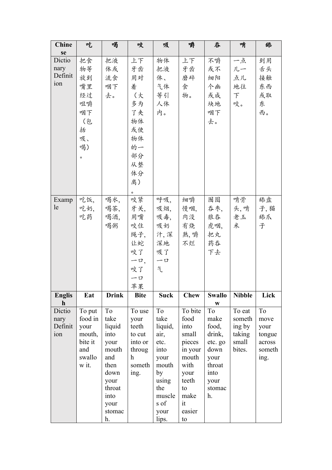| <b>Chine</b>          | 吃       | 喝            | 咬             | 吸           | 嚼           | 吞             | 啃             | 舔      |
|-----------------------|---------|--------------|---------------|-------------|-------------|---------------|---------------|--------|
| se                    |         |              |               |             |             |               |               |        |
| Dictio                | 把食      | 把液           | 上下            | 物体          | 上下          | 不嚼            | 一点            | 到用     |
| nary                  | 物等      | 体或           | 牙齿            | 把液          | 牙齿          | 或不            | 儿一            | 舌头     |
| Definit               | 放到      | 流食           | 用对            | 体、          | 磨碎          | 细阳            | 点儿            | 接触     |
| 10n                   | 嘴里      | 咽下           | 着             | 气体          | 食           | 个幽            | 地往            | 东西     |
|                       | 经过      | 去。           | (大            | 等引          | 物。          | 或成            | $\top$        | 或取     |
|                       | 咀嚼      |              | 多为            | 人体          |             | 块地            | 咬。            | 东      |
|                       | 咽下      |              | 了夹            | 内。          |             | 咽下            |               | 西。     |
|                       |         |              | 物体            |             |             |               |               |        |
|                       | (包      |              |               |             |             | 去。            |               |        |
|                       | 括       |              | 或使            |             |             |               |               |        |
|                       | 吸、      |              | 物体            |             |             |               |               |        |
|                       | 喝)      |              | 的一            |             |             |               |               |        |
|                       | $\circ$ |              | 部分            |             |             |               |               |        |
|                       |         |              | 从整            |             |             |               |               |        |
|                       |         |              | 体分            |             |             |               |               |        |
|                       |         |              | 离)            |             |             |               |               |        |
|                       |         |              |               |             |             |               |               |        |
| Examp                 | 吃饭,     | 喝水,          | 咬紧            | 呼吸,         | 细嚼          | 囫囵            | 啃骨            | 舔盘     |
| le                    | 吃奶,     | 喝茶,          | 牙关,           | 吸烟,         | 慢咽,         | 吞枣,           | 头,啃           | 子,猫    |
|                       | 吃药      | 喝酒,          | 用嘴            | 吸毒,         | 肉没          | 狼吞            | 老玉            | 舔爪     |
|                       |         | 喝粥           | 咬住            | 吸奶          | 有烧          | 虎咽,           | 米             | 子      |
|                       |         |              | 绳子,           | 汁,深         | 熟, 嚼        | 把丸            |               |        |
|                       |         |              | 让蛇            | 深地          | 不烂          | 药吞            |               |        |
|                       |         |              | 咬了            | 吸了          |             | 下去            |               |        |
|                       |         |              |               | $-\Box$     |             |               |               |        |
|                       |         |              | $-\Box$<br>咬了 | 气           |             |               |               |        |
|                       |         |              |               |             |             |               |               |        |
|                       |         |              | $-\Box$       |             |             |               |               |        |
|                       |         |              | 苹果            |             |             |               |               |        |
| <b>Englis</b>         | Eat     | <b>Drink</b> | <b>Bite</b>   | <b>Suck</b> | <b>Chew</b> | <b>Swallo</b> | <b>Nibble</b> | Lick   |
| $\mathbf h$<br>Dictio | To put  | To           | To use        | To          | To bite     | W<br>To       | To eat        | To     |
| nary                  | food in | take         | your          | take        | food        | make          | someth        | move   |
| Definit               | your    | liquid       | teeth         | liquid,     | into        | food,         | ing by        | your   |
| ion                   | mouth,  | into         | to cut        | air,        | small       | drink,        | taking        | tongue |
|                       | bite it | your         | into or       | etc.        | pieces      | etc. go       | small         | across |
|                       | and     | mouth        | throug        | into        | in your     | down          | bites.        | someth |
|                       | swallo  | and          | h             | your        | mouth       | your          |               | ing.   |
|                       | w it.   | then         | someth        | mouth       | with        | throat        |               |        |
|                       |         | down         | ing.          | by          | your        | into          |               |        |
|                       |         | your         |               | using       | teeth       | your          |               |        |
|                       |         | throat       |               | the         | to          | stomac        |               |        |
|                       |         | into         |               | muscle      | make        | h.            |               |        |
|                       |         | your         |               | s of        | it          |               |               |        |
|                       |         | stomac       |               | your        | easier      |               |               |        |
|                       |         | h.           |               | lips.       | to          |               |               |        |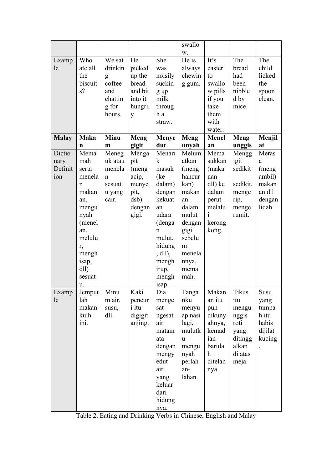|              |             |                  |              |                | swallo         |                        |                  |            |
|--------------|-------------|------------------|--------------|----------------|----------------|------------------------|------------------|------------|
|              |             |                  |              |                | W.             |                        |                  |            |
| Examp        | Who         | We sat           | He           | She            | He is          | It's                   | The              | The        |
| le           | ate all     | drinkin          | picked       | was            | always         | easier                 | bread            | child      |
|              | the         | g                | up the       | noisily        | chewin         | to                     | had              | licked     |
|              | biscuit     | coffee           | bread        | suckin         | g gum.         | swallo                 | been             | the        |
|              | s?          | and              | and bit      | g up           |                | w pills                | nibble           | spoon      |
|              |             | chattin          | into it      | milk           |                | if you                 | d by             | clean.     |
|              |             | g for            | hungril      | throug         |                | take                   | mice.            |            |
|              |             | hours.           | y.           | h a            |                | them                   |                  |            |
|              |             |                  |              | straw.         |                | with                   |                  |            |
|              |             |                  |              |                |                | water.                 |                  |            |
| <b>Malay</b> | <b>Maka</b> | Minu             | Meng         | <b>Menye</b>   | Meng           | <b>Menel</b>           | Meng             | Menjil     |
| Dictio       | n<br>Mema   | m                | gigit        | dut<br>Menari  | unyah          | an                     | unggis           | at         |
| nary         | mah         | Meneg<br>uk atau | Menga<br>pit | $\mathbf k$    | Melum<br>atkan | Mema<br>sukkan         | Mengg<br>igit    | Meras      |
| Definit      | serta       | menela           | (meng        | masuk          | (meng          | (maka                  | sedikit          | a<br>(meng |
| 10n          | menela      | n                | acip,        | (ke)           | hancur         | nan                    |                  | ambil)     |
|              | n           | sesuat           | menye        | dalam)         | kan)           | dll) ke                | sedikit,         | makan      |
|              | makan       | u yang           | pit,         | dengan         | makan          | dalam                  | menge            | an dll     |
|              | an,         | cair.            | dsb)         | kekuat         | an             | perut                  | rip,             | dengan     |
|              | mengu       |                  | dengan       | an             | dalam          | melalu                 | menge            | lidah.     |
|              | nyah        |                  | gigi.        | udara          | mulut          | $\mathbf{1}$           | rumit.           |            |
|              | (menel      |                  |              | (denga         | dengan         | kerong                 |                  |            |
|              | an,         |                  |              | n              | gigi           | kong.                  |                  |            |
|              | melulu      |                  |              | mulut,         | sebelu         |                        |                  |            |
|              | r,          |                  |              | hidung         | m              |                        |                  |            |
|              | mengh       |                  |              | $,$ dll $),$   | menela         |                        |                  |            |
|              | isap,<br>dl |                  |              | mengh<br>irup, | nnya,<br>mema  |                        |                  |            |
|              | sesuat      |                  |              | mengh          | mah.           |                        |                  |            |
|              | u.          |                  |              | isap.          |                |                        |                  |            |
| Examp        | Jemput      | Minu             | Kaki         | Dia            | Tanga          | Makan                  | Tikus            | Susu       |
| le           | lah         | m air,           | pencur       | menge          | nku            | an itu                 | itu              | yang       |
|              | makan       | susu,            | <i>i</i> itu | sat-           | menyu          | pun                    | mengu            | tumpa      |
|              | kuih        | dll.             | digigit      | ngesat         | ap nasi        | dikuny                 | nggis            | h itu      |
|              | ini.        |                  | anjing.      | air            | lagi,          | ahnya,                 | roti             | habis      |
|              |             |                  |              | matam          | mulutk         | kemad                  | yang             | dijilat    |
|              |             |                  |              | ata            | u              | ian                    | ditingg          | kucing     |
|              |             |                  |              | dengan         | mengu          | barula<br>$\mathbf{h}$ | alkan            |            |
|              |             |                  |              | mengy<br>edut  | nyah<br>perlah | ditelan                | di atas<br>meja. |            |
|              |             |                  |              | air            | an-            | nya.                   |                  |            |
|              |             |                  |              | yang           | lahan.         |                        |                  |            |
|              |             |                  |              | keluar         |                |                        |                  |            |
|              |             |                  |              | dari           |                |                        |                  |            |
|              |             |                  |              | hidung         |                |                        |                  |            |
|              |             |                  |              | nya.           |                |                        |                  |            |

Table 2. Eating and Drinking Verbs in Chinese, English and Malay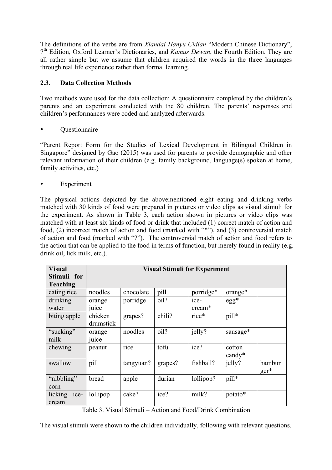The definitions of the verbs are from *Xiandai Hanyu Cidian* "Modern Chinese Dictionary", 7th Edition, Oxford Learner's Dictionaries, and *Kamus Dewan*, the Fourth Edition. They are all rather simple but we assume that children acquired the words in the three languages through real life experience rather than formal learning.

# **2.3. Data Collection Methods**

Two methods were used for the data collection: A questionnaire completed by the children's parents and an experiment conducted with the 80 children. The parents' responses and children's performances were coded and analyzed afterwards.

• Questionnaire

"Parent Report Form for the Studies of Lexical Development in Bilingual Children in Singapore" designed by Gao (2015) was used for parents to provide demographic and other relevant information of their children (e.g. family background, language(s) spoken at home, family activities, etc.)

• Experiment

The physical actions depicted by the abovementioned eight eating and drinking verbs matched with 30 kinds of food were prepared in pictures or video clips as visual stimuli for the experiment. As shown in Table 3, each action shown in pictures or video clips was matched with at least six kinds of food or drink that included (1) correct match of action and food, (2) incorrect match of action and food (marked with "\*"), and (3) controversial match of action and food (marked with "?"). The controversial match of action and food refers to the action that can be applied to the food in terms of function, but merely found in reality (e.g. drink oil, lick milk, etc.).

| <b>Visual</b>   | <b>Visual Stimuli for Experiment</b> |           |         |           |               |        |
|-----------------|--------------------------------------|-----------|---------|-----------|---------------|--------|
| Stimuli for     |                                      |           |         |           |               |        |
| <b>Teaching</b> |                                      |           |         |           |               |        |
| eating rice     | noodles                              | chocolate | pill    | porridge* | orange*       |        |
| drinking        | orange                               | porridge  | oil?    | $1ce-$    | $egg*$        |        |
| water           | juice                                |           |         | cream*    |               |        |
| biting apple    | chicken                              | grapes?   | chili?  | rice*     | pill*         |        |
|                 | drumstick                            |           |         |           |               |        |
| "sucking"       | orange                               | noodles   | oil?    | jelly?    | sausage*      |        |
| milk            | juice                                |           |         |           |               |        |
| chewing         | peanut                               | rice      | tofu    | ice?      | cotton        |        |
|                 |                                      |           |         |           | $c$ and $v^*$ |        |
| swallow         | pill                                 | tangyuan? | grapes? | fishball? | jelly?        | hambur |
|                 |                                      |           |         |           |               | $ger*$ |
| "nibbling"      | bread                                | apple     | durian  | lollipop? | pill*         |        |
| corn            |                                      |           |         |           |               |        |
| licking<br>ice- | lollipop                             | cake?     | ice?    | milk?     | potato*       |        |
| cream           |                                      |           |         |           |               |        |

Table 3. Visual Stimuli – Action and Food/Drink Combination

The visual stimuli were shown to the children individually, following with relevant questions.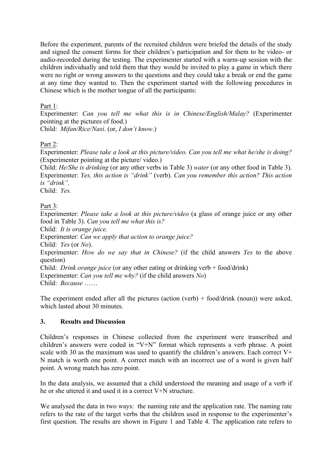Before the experiment, parents of the recruited children were briefed the details of the study and signed the consent forms for their children's participation and for them to be video- or audio-recorded during the testing. The experimenter started with a warm-up session with the children individually and told them that they would be invited to play a game in which there were no right or wrong answers to the questions and they could take a break or end the game at any time they wanted to. Then the experiment started with the following procedures in Chinese which is the mother tongue of all the participants:

## Part 1:

Experimenter: *Can you tell me what this is in Chinese/English/Malay?* (Experimenter pointing at the pictures of food.)

Child: *Mifan/Rice/Nasi*. (or, *I don't know*.)

Part 2:

Experimenter: *Please take a look at this picture/video. Can you tell me what he/she is doing?* (Experimenter pointing at the picture/ video.)

Child: *He/She is drinking* (or any other verbs in Table 3) *water* (or any other food in Table 3). Experimenter: *Yes, this action is "drink"* (verb). *Can you remember this action? This action is "drink".*

Child: *Yes.*

# Part 3:

Experimenter: *Please take a look at this picture/video* (a glass of orange juice or any other food in Table 3). *Can you tell me what this is?* Child: *It is orange juice.* Experimenter: *Can we apply that action to orange juice?* Child: *Yes* (or *No*). Experimenter: *How do we say that in Chinese?* (if the child answers *Yes* to the above question) Child: *Drink orange juice* (or any other eating or drinking verb + food/drink) Experimenter: *Can you tell me why?* (if the child answers *No*) Child: *Because* ……

The experiment ended after all the pictures (action (verb) + food/drink (noun)) were asked, which lasted about 30 minutes.

### **3. Results and Discussion**

Children's responses in Chinese collected from the experiment were transcribed and children's answers were coded in "V+N" format which represents a verb phrase. A point scale with 30 as the maximum was used to quantify the children's answers. Each correct  $V^+$ N match is worth one point. A correct match with an incorrect use of a word is given half point. A wrong match has zero point.

In the data analysis, we assumed that a child understood the meaning and usage of a verb if he or she uttered it and used it in a correct V+N structure.

We analysed the data in two ways: the naming rate and the application rate. The naming rate refers to the rate of the target verbs that the children used in response to the experimenter's first question. The results are shown in Figure 1 and Table 4. The application rate refers to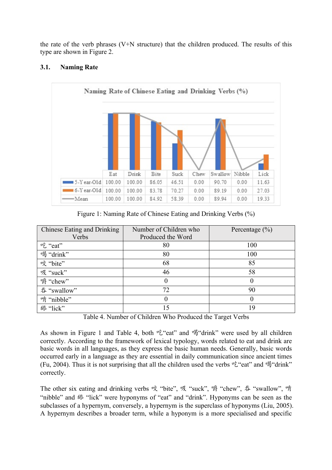the rate of the verb phrases (V+N structure) that the children produced. The results of this type are shown in Figure 2.



## **3.1. Naming Rate**

Figure 1: Naming Rate of Chinese Eating and Drinking Verbs (%)

| Chinese Eating and Drinking | Number of Children who | Percentage $(\% )$ |
|-----------------------------|------------------------|--------------------|
| Verbs                       | Produced the Word      |                    |
| 吃"eat"                      | 80                     | 100                |
| 喝"drink"                    | 80                     | 100                |
| 咬"bite"                     | 68                     | 85                 |
| 吸"suck"                     | 46                     | 58                 |
| " "chew"                    | $\theta$               | $\theta$           |
| 吞 "swallow"                 | 72                     | 90                 |
| 啃"nibble"                   |                        | $\theta$           |
| 舔"lick"                     | 15                     | 19                 |

Table 4. Number of Children Who Produced the Target Verbs

As shown in Figure 1 and Table 4, both  $\nu \xi$ "eat" and  $\nu \xi$ "drink" were used by all children correctly. According to the framework of lexical typology, words related to eat and drink are basic words in all languages, as they express the basic human needs. Generally, basic words occurred early in a language as they are essential in daily communication since ancient times (Fu, 2004). Thus it is not surprising that all the children used the verbs  $E^*$  and  $E^*$  and  $E^*$ correctly.

The other six eating and drinking verbs 咬 "bite", 吸 "suck", 嚼 "chew", 吞 "swallow", 啃 "nibble" and 舔 "lick" were hyponyms of "eat" and "drink". Hyponyms can be seen as the subclasses of a hypernym, conversely, a hypernym is the superclass of hyponyms (Liu, 2005). A hypernym describes a broader term, while a hyponym is a more specialised and specific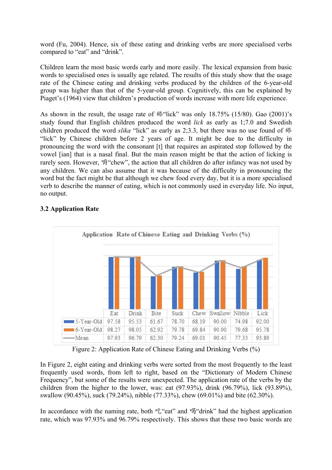word (Fu, 2004). Hence, six of these eating and drinking verbs are more specialised verbs compared to "eat" and "drink".

Children learn the most basic words early and more easily. The lexical expansion from basic words to specialised ones is usually age related. The results of this study show that the usage rate of the Chinese eating and drinking verbs produced by the children of the 6-year-old group was higher than that of the 5-year-old group. Cognitively, this can be explained by Piaget's (1964) view that children's production of words increase with more life experience.

As shown in the result, the usage rate of 舔"lick" was only 18.75% (15/80). Gao (2001)'s study found that English children produced the word *lick* as early as 1;7.0 and Swedish children produced the word *slika* "lick" as early as 2;3.3, but there was no use found of 舔 "lick" by Chinese children before 2 years of age. It might be due to the difficulty in pronouncing the word with the consonant [t] that requires an aspirated stop followed by the vowel [ian] that is a nasal final. But the main reason might be that the action of licking is rarely seen. However, "<sub>3</sub> "chew", the action that all children do after infancy was not used by any children. We can also assume that it was because of the difficulty in pronouncing the word but the fact might be that although we chew food every day, but it is a more specialised verb to describe the manner of eating, which is not commonly used in everyday life. No input, no output.



# **3.2 Application Rate**

Figure 2: Application Rate of Chinese Eating and Drinking Verbs (%)

In Figure 2, eight eating and drinking verbs were sorted from the most frequently to the least frequently used words, from left to right, based on the "Dictionary of Modern Chinese Frequency", but some of the results were unexpected. The application rate of the verbs by the children from the higher to the lower, was: eat (97.93%), drink (96.79%), lick (93.89%), swallow (90.45%), suck (79.24%), nibble (77.33%), chew (69.01%) and bite (62.30%).

In accordance with the naming rate, both  $\nu \xi$ "eat" and  $\nu \xi$ "drink" had the highest application rate, which was 97.93% and 96.79% respectively. This shows that these two basic words are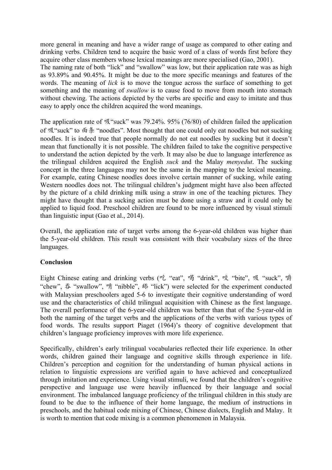more general in meaning and have a wider range of usage as compared to other eating and drinking verbs. Children tend to acquire the basic word of a class of words first before they acquire other class members whose lexical meanings are more specialised (Gao, 2001). The naming rate of both "lick" and "swallow" was low, but their application rate was as high as 93.89% and 90.45%. It might be due to the more specific meanings and features of the words. The meaning of *lick* is to move the tongue across the surface of something to get something and the meaning of *swallow* is to cause food to move from mouth into stomach without chewing. The actions depicted by the verbs are specific and easy to imitate and thus easy to apply once the children acquired the word meanings.

The application rate of 吸"suck" was 79.24%. 95% (76/80) of children failed the application of 吸"suck" to 面条 "noodles". Most thought that one could only eat noodles but not sucking noodles. It is indeed true that people normally do not eat noodles by sucking but it doesn't mean that functionally it is not possible. The children failed to take the cognitive perspective to understand the action depicted by the verb. It may also be due to language interference as the trilingual children acquired the English *suck* and the Malay *menyedut*. The sucking concept in the three languages may not be the same in the mapping to the lexical meaning. For example, eating Chinese noodles does involve certain manner of sucking, while eating Western noodles does not. The trilingual children's judgment might have also been affected by the picture of a child drinking milk using a straw in one of the teaching pictures. They might have thought that a sucking action must be done using a straw and it could only be applied to liquid food. Preschool children are found to be more influenced by visual stimuli than linguistic input (Gao et al., 2014).

Overall, the application rate of target verbs among the 6-year-old children was higher than the 5-year-old children. This result was consistent with their vocabulary sizes of the three languages.

#### **Conclusion**

Eight Chinese eating and drinking verbs (吃 "eat", 喝 "drink", 咬 "bite", 吸 "suck", 嚼 "chew", 吞 "swallow", 啃 "nibble", 舔 "lick") were selected for the experiment conducted with Malaysian preschoolers aged 5-6 to investigate their cognitive understanding of word use and the characteristics of child trilingual acquisition with Chinese as the first language. The overall performance of the 6-year-old children was better than that of the 5-year-old in both the naming of the target verbs and the applications of the verbs with various types of food words. The results support Piaget (1964)'s theory of cognitive development that children's language proficiency improves with more life experience.

Specifically, children's early trilingual vocabularies reflected their life experience. In other words, children gained their language and cognitive skills through experience in life. Children's perception and cognition for the understanding of human physical actions in relation to linguistic expressions are verified again to have achieved and conceptualized through imitation and experience. Using visual stimuli, we found that the children's cognitive perspective and language use were heavily influenced by their language and social environment. The imbalanced language proficiency of the trilingual children in this study are found to be due to the influence of their home language, the medium of instructions in preschools, and the habitual code mixing of Chinese, Chinese dialects, English and Malay. It is worth to mention that code mixing is a common phenomenon in Malaysia.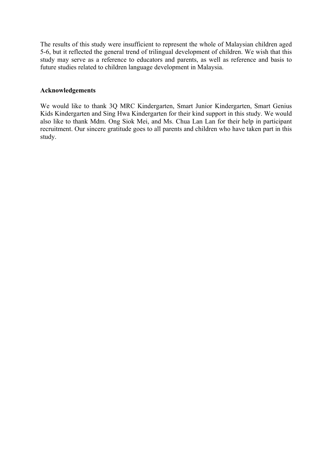The results of this study were insufficient to represent the whole of Malaysian children aged 5-6, but it reflected the general trend of trilingual development of children. We wish that this study may serve as a reference to educators and parents, as well as reference and basis to future studies related to children language development in Malaysia.

#### **Acknowledgements**

We would like to thank 3Q MRC Kindergarten, Smart Junior Kindergarten, Smart Genius Kids Kindergarten and Sing Hwa Kindergarten for their kind support in this study. We would also like to thank Mdm. Ong Siok Mei, and Ms. Chua Lan Lan for their help in participant recruitment. Our sincere gratitude goes to all parents and children who have taken part in this study.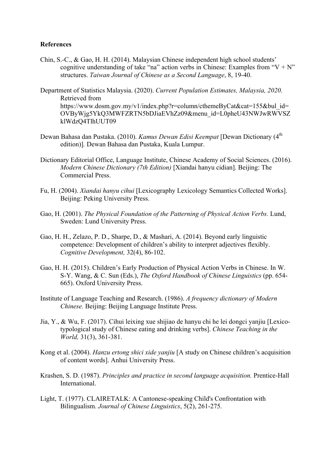#### **References**

- Chin, S.-C., & Gao, H. H. (2014). Malaysian Chinese independent high school students' cognitive understanding of take "na" action verbs in Chinese: Examples from " $V + N$ " structures. *Taiwan Journal of Chinese as a Second Language*, 8, 19-40.
- Department of Statistics Malaysia. (2020). *Current Population Estimates, Malaysia, 2020*. Retrieved from https://www.dosm.gov.my/v1/index.php?r=column/cthemeByCat&cat=155&bul\_id= OVByWjg5YkQ3MWFZRTN5bDJiaEVhZz09&menu\_id=L0pheU43NWJwRWVSZ klWdzQ4TlhUUT09
- Dewan Bahasa dan Pustaka. (2010). *Kamus Dewan Edisi Keempat* [Dewan Dictionary (4<sup>th</sup>) edition)]*.* Dewan Bahasa dan Pustaka, Kuala Lumpur.
- Dictionary Editorial Office, Language Institute, Chinese Academy of Social Sciences. (2016). *Modern Chinese Dictionary (7th Edition)* [Xiandai hanyu cidian]. Beijing: The Commercial Press.
- Fu, H. (2004). *Xiandai hanyu cihui* [Lexicography Lexicology Semantics Collected Works]. Beijing: Peking University Press.
- Gao, H. (2001). *The Physical Foundation of the Patterning of Physical Action Verbs.* Lund, Sweden: Lund University Press.
- Gao, H. H., Zelazo, P. D., Sharpe, D., & Mashari, A. (2014). Beyond early linguistic competence: Development of children's ability to interpret adjectives flexibly. *Cognitive Development,* 32(4), 86-102.
- Gao, H. H. (2015). Children's Early Production of Physical Action Verbs in Chinese. In W. S-Y. Wang, & C. Sun (Eds.), *The Oxford Handbook of Chinese Linguistics* (pp. 654- 665). Oxford University Press.
- Institute of Language Teaching and Research. (1986). *A frequency dictionary of Modern Chinese.* Beijing: Beijing Language Institute Press.
- Jia, Y., & Wu, F. (2017). Cihui leixing xue shijiao de hanyu chi he lei dongci yanjiu [Lexicotypological study of Chinese eating and drinking verbs]. *Chinese Teaching in the World,* 31(3), 361-381.
- Kong et al. (2004). *Hanzu ertong shici xide yanjiu* [A study on Chinese children's acquisition of content words]. Anhui University Press.
- Krashen, S. D. (1987). *Principles and practice in second language acquisition.* Prentice-Hall International.
- Light, T. (1977). CLAIRETALK: A Cantonese-speaking Child's Confrontation with Bilingualism. *Journal of Chinese Linguistics*, 5(2), 261-275.